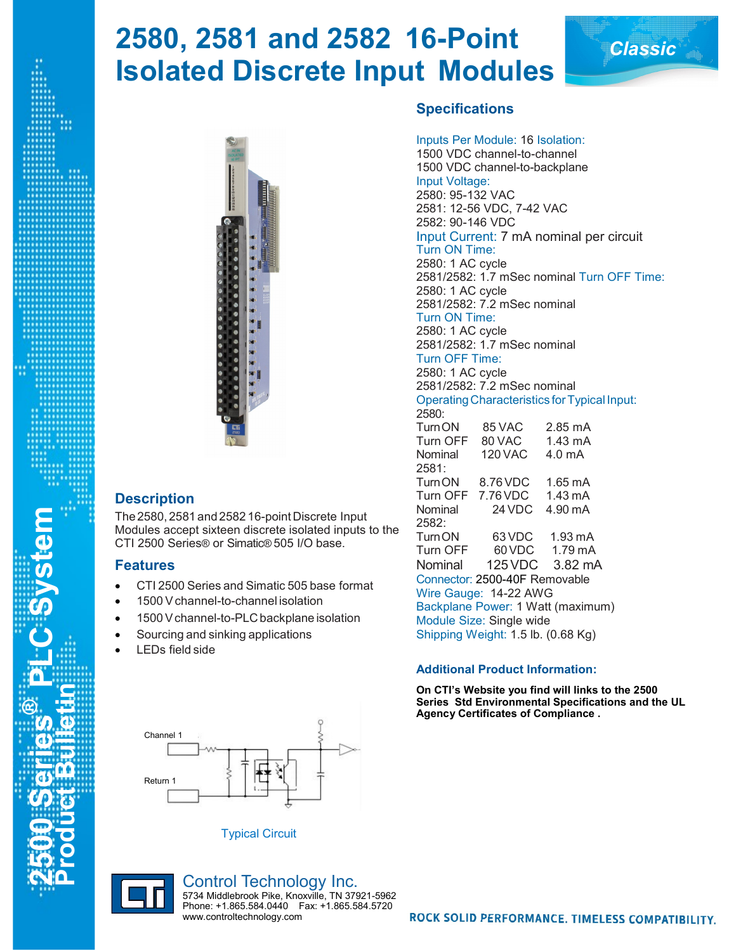# **2580, 2581 and 2582 16-Point Isolated Discrete Input Modules**



### **Description**

The2580, 2581 and 2582 16-point Discrete Input Modules accept sixteen discrete isolated inputs to the CTI 2500 Series® or Simatic® 505 I/O base.

#### **Features**

**2500 Series® PLC System Product Bulletin**

**C** System

- CTI 2500 Series and Simatic 505 base format
- 1500 V channel-to-channel isolation
- 1500 V channel-to-PLC backplane isolation
- Sourcing and sinking applications
- LEDs field side



Typical Circuit

### Inputs Per Module: 16 Isolation:

**Specifications**

1500 VDC channel-to-channel 1500 VDC channel-to-backplane Input Voltage: 2580: 95-132 VAC 2581: 12-56 VDC, 7-42 VAC 2582: 90-146 VDC Input Current: 7 mA nominal per circuit Turn ON Time: 2580: 1 AC cycle 2581/2582: 1.7 mSec nominal Turn OFF Time: 2580: 1 AC cycle 2581/2582: 7.2 mSec nominal Turn ON Time: 2580: 1 AC cycle 2581/2582: 1.7 mSec nominal Turn OFF Time: 2580: 1 AC cycle 2581/2582: 7.2 mSec nominal Operating Characteristics for Typical Input: 2580: TurnON 85 VAC 2.85 mA Turn OFF 80 VAC 1.43 mA Nominal 120 VAC 4.0 mA 2581: TurnON 8.76VDC 1.65 mA Turn OFF 7.76 VDC 1.43 mA<br>Nominal 24 VDC 4.90 mA Nominal 24 VDC 2582: TurnON 63VDC 1.93 mA Turn OFF 60VDC 1.79 mA Nominal 125VDC 3.82 mA Connector: 2500-40F Removable Wire Gauge: 14-22 AWG Backplane Power: 1 Watt (maximum) Module Size: Single wide Shipping Weight: 1.5 lb. (0.68 Kg)

*Classic*

#### **Additional Product Information:**

**On CTI's Website you find will links to the 2500 Series Std Environmental Specifications and the UL Agency Certificates of Compliance .**



Control Technology Inc. 5734 Middlebrook Pike, Knoxville, TN 37921-5962 Phone: +1.865.584.0440 Fax: +1.865.584.5720 www.controltechnology.com